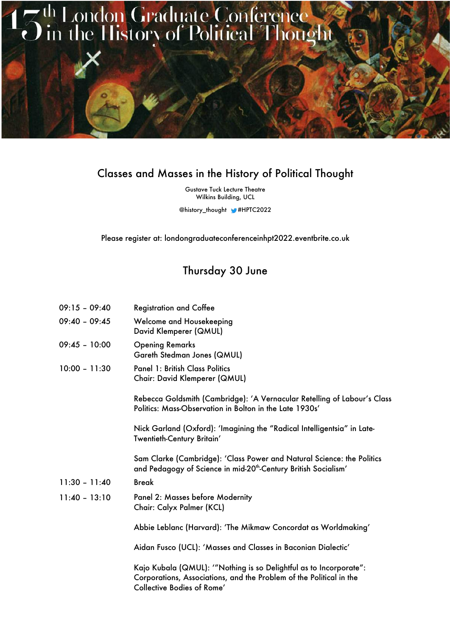

## Classes and Masses in the History of Political Thought

Gustave Tuck Lecture Theatre Wilkins Building, UCL

@history\_thought #HPTC2022

Please register at: londongraduateconferenceinhpt2022.eventbrite.co.uk

## Thursday 30 June

| $09:15 - 09:40$ | <b>Registration and Coffee</b>                                                                                                                                         |
|-----------------|------------------------------------------------------------------------------------------------------------------------------------------------------------------------|
| $09:40 - 09:45$ | Welcome and Housekeeping<br>David Klemperer (QMUL)                                                                                                                     |
| $09:45 - 10:00$ | <b>Opening Remarks</b><br>Gareth Stedman Jones (QMUL)                                                                                                                  |
| $10:00 - 11:30$ | <b>Panel 1: British Class Politics</b><br>Chair: David Klemperer (QMUL)                                                                                                |
|                 | Rebecca Goldsmith (Cambridge): 'A Vernacular Retelling of Labour's Class<br>Politics: Mass-Observation in Bolton in the Late 1930s'                                    |
|                 | Nick Garland (Oxford): 'Imagining the "Radical Intelligentsia" in Late-<br>Twentieth-Century Britain'                                                                  |
|                 | Sam Clarke (Cambridge): 'Class Power and Natural Science: the Politics<br>and Pedagogy of Science in mid-20 <sup>th</sup> -Century British Socialism'                  |
| $11:30 - 11:40$ | <b>Break</b>                                                                                                                                                           |
| $11:40 - 13:10$ | Panel 2: Masses before Modernity<br>Chair: Calyx Palmer (KCL)                                                                                                          |
|                 | Abbie Leblanc (Harvard): 'The Mikmaw Concordat as Worldmaking'                                                                                                         |
|                 | Aidan Fusco (UCL): 'Masses and Classes in Baconian Dialectic'                                                                                                          |
|                 | Kajo Kubala (QMUL): "Nothing is so Delightful as to Incorporate":<br>Corporations, Associations, and the Problem of the Political in the<br>Collective Bodies of Rome' |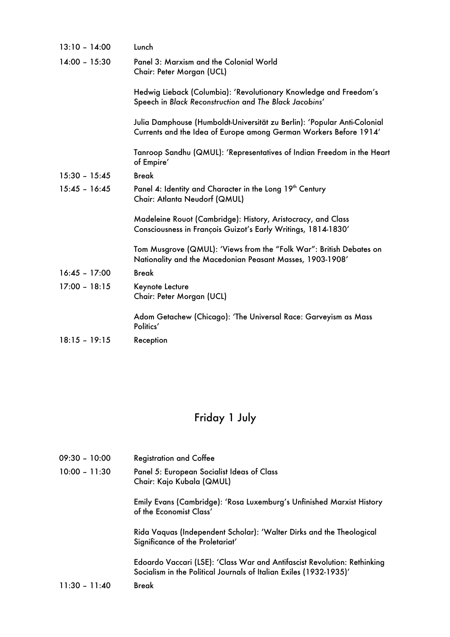| $13:10 - 14:00$ | Lunch                                                                                                                                         |
|-----------------|-----------------------------------------------------------------------------------------------------------------------------------------------|
| $14:00 - 15:30$ | Panel 3: Marxism and the Colonial World<br>Chair: Peter Morgan (UCL)                                                                          |
|                 | Hedwig Lieback (Columbia): 'Revolutionary Knowledge and Freedom's<br>Speech in Black Reconstruction and The Black Jacobins'                   |
|                 | Julia Damphouse (Humboldt-Universität zu Berlin): 'Popular Anti-Colonial<br>Currents and the Idea of Europe among German Workers Before 1914' |
|                 | Tanroop Sandhu (QMUL): 'Representatives of Indian Freedom in the Heart<br>of Empire'                                                          |
| $15:30 - 15:45$ | <b>Break</b>                                                                                                                                  |
| $15:45 - 16:45$ | Panel 4: Identity and Character in the Long 19th Century<br>Chair: Atlanta Neudorf (QMUL)                                                     |
|                 | Madeleine Rouot (Cambridge): History, Aristocracy, and Class<br>Consciousness in François Guizot's Early Writings, 1814-1830'                 |
|                 | Tom Musgrove (QMUL): 'Views from the "Folk War": British Debates on<br>Nationality and the Macedonian Peasant Masses, 1903-1908'              |
| $16:45 - 17:00$ | <b>Break</b>                                                                                                                                  |
| $17:00 - 18:15$ | Keynote Lecture<br>Chair: Peter Morgan (UCL)                                                                                                  |
|                 | Adom Getachew (Chicago): 'The Universal Race: Garveyism as Mass<br>Politics'                                                                  |
| $18:15 - 19:15$ | Reception                                                                                                                                     |
|                 |                                                                                                                                               |

## Friday 1 July

- 09:30 10:00 Registration and Coffee
- 10:00 11:30 Panel 5: European Socialist Ideas of Class Chair: Kajo Kubala (QMUL)

Emily Evans (Cambridge): 'Rosa Luxemburg's Unfinished Marxist History of the Economist Class'

Rida Vaquas (Independent Scholar): 'Walter Dirks and the Theological Significance of the Proletariat'

Edoardo Vaccari (LSE): 'Class War and Antifascist Revolution: Rethinking Socialism in the Political Journals of Italian Exiles (1932-1935)'

11:30 – 11:40 Break